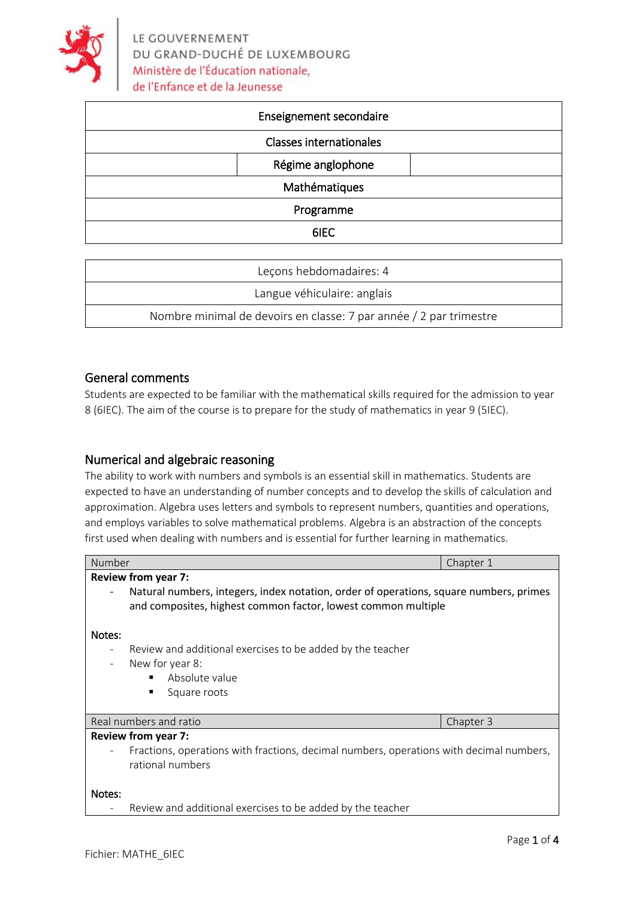

| Enseignement secondaire        |  |
|--------------------------------|--|
| <b>Classes internationales</b> |  |
| Régime anglophone              |  |
| Mathématiques                  |  |
| Programme                      |  |
| 6IEC                           |  |

| Leçons hebdomadaires: 4                                            |  |
|--------------------------------------------------------------------|--|
| Langue véhiculaire: anglais                                        |  |
| Nombre minimal de devoirs en classe: 7 par année / 2 par trimestre |  |

## General comments

Students are expected to be familiar with the mathematical skills required for the admission to year 8 (6IEC). The aim of the course is to prepare for the study of mathematics in year 9 (5IEC).

## Numerical and algebraic reasoning

The ability to work with numbers and symbols is an essential skill in mathematics. Students are expected to have an understanding of number concepts and to develop the skills of calculation and approximation. Algebra uses letters and symbols to represent numbers, quantities and operations, and employs variables to solve mathematical problems. Algebra is an abstraction of the concepts first used when dealing with numbers and is essential for further learning in mathematics.

| Number                     |                                                                                                                                                         | Chapter 1 |  |  |
|----------------------------|---------------------------------------------------------------------------------------------------------------------------------------------------------|-----------|--|--|
| <b>Review from year 7:</b> |                                                                                                                                                         |           |  |  |
| $\overline{\phantom{a}}$   | Natural numbers, integers, index notation, order of operations, square numbers, primes<br>and composites, highest common factor, lowest common multiple |           |  |  |
| Notes:                     |                                                                                                                                                         |           |  |  |
| $\overline{\phantom{a}}$   | Review and additional exercises to be added by the teacher<br>New for year 8:<br>Absolute value<br>٠<br>Square roots<br>٠                               |           |  |  |
|                            | Real numbers and ratio                                                                                                                                  | Chapter 3 |  |  |
| <b>Review from year 7:</b> |                                                                                                                                                         |           |  |  |
|                            | Fractions, operations with fractions, decimal numbers, operations with decimal numbers,<br>rational numbers                                             |           |  |  |
| Notes:                     |                                                                                                                                                         |           |  |  |
|                            | Review and additional exercises to be added by the teacher                                                                                              |           |  |  |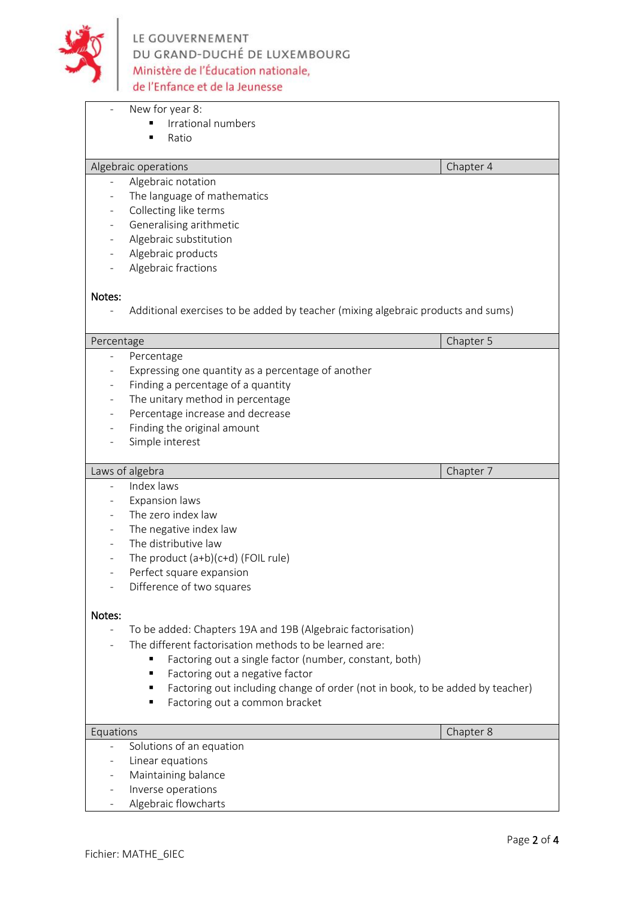

|                          | New for year 8:                                                                    |           |
|--------------------------|------------------------------------------------------------------------------------|-----------|
|                          | Irrational numbers                                                                 |           |
|                          | Ratio<br>п                                                                         |           |
|                          |                                                                                    |           |
|                          | Algebraic operations                                                               | Chapter 4 |
|                          | Algebraic notation                                                                 |           |
|                          | The language of mathematics                                                        |           |
| ÷,                       | Collecting like terms                                                              |           |
| $\overline{\phantom{0}}$ | Generalising arithmetic                                                            |           |
| $\overline{\phantom{0}}$ | Algebraic substitution                                                             |           |
| $\overline{\phantom{0}}$ | Algebraic products                                                                 |           |
|                          | Algebraic fractions                                                                |           |
|                          |                                                                                    |           |
| Notes:                   |                                                                                    |           |
|                          | Additional exercises to be added by teacher (mixing algebraic products and sums)   |           |
|                          |                                                                                    |           |
| Percentage               |                                                                                    | Chapter 5 |
| ÷,                       | Percentage                                                                         |           |
| $\overline{\phantom{0}}$ | Expressing one quantity as a percentage of another                                 |           |
| $\overline{\phantom{0}}$ | Finding a percentage of a quantity                                                 |           |
| $\overline{\phantom{0}}$ | The unitary method in percentage                                                   |           |
| $\overline{\phantom{0}}$ | Percentage increase and decrease                                                   |           |
|                          | Finding the original amount                                                        |           |
|                          | Simple interest                                                                    |           |
|                          | Laws of algebra                                                                    | Chapter 7 |
|                          | Index laws                                                                         |           |
| -                        | <b>Expansion laws</b>                                                              |           |
|                          | The zero index law                                                                 |           |
| $\overline{\phantom{0}}$ | The negative index law                                                             |           |
| ÷,                       | The distributive law                                                               |           |
| $\overline{\phantom{0}}$ | The product (a+b)(c+d) (FOIL rule)                                                 |           |
|                          | Perfect square expansion                                                           |           |
|                          | Difference of two squares                                                          |           |
|                          |                                                                                    |           |
| Notes:                   |                                                                                    |           |
|                          | To be added: Chapters 19A and 19B (Algebraic factorisation)                        |           |
|                          | The different factorisation methods to be learned are:                             |           |
|                          | Factoring out a single factor (number, constant, both)                             |           |
|                          | Factoring out a negative factor<br>٠                                               |           |
|                          | Factoring out including change of order (not in book, to be added by teacher)<br>٠ |           |
|                          | Factoring out a common bracket<br>٠                                                |           |
|                          |                                                                                    |           |
| Equations                |                                                                                    | Chapter 8 |
| ÷,                       | Solutions of an equation                                                           |           |
|                          | Linear equations                                                                   |           |
|                          | Maintaining balance                                                                |           |
|                          |                                                                                    |           |
|                          | Inverse operations                                                                 |           |

Algebraic flowcharts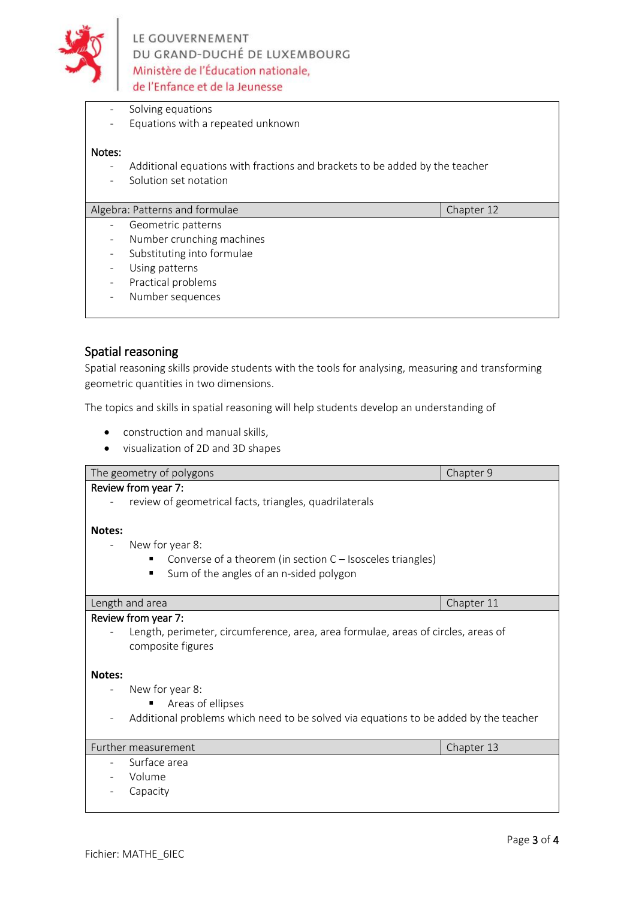

- Solving equations
- Equations with a repeated unknown

#### Notes:

- Additional equations with fractions and brackets to be added by the teacher
- Solution set notation

## Algebra: Patterns and formulae Chapter 12

- Geometric patterns
- Number crunching machines
- Substituting into formulae
- Using patterns
- Practical problems
- Number sequences

### Spatial reasoning

Spatial reasoning skills provide students with the tools for analysing, measuring and transforming geometric quantities in two dimensions.

The topics and skills in spatial reasoning will help students develop an understanding of

- construction and manual skills,
- visualization of 2D and 3D shapes

| The geometry of polygons                                                             | Chapter 9  |  |  |
|--------------------------------------------------------------------------------------|------------|--|--|
| Review from year 7:                                                                  |            |  |  |
| review of geometrical facts, triangles, quadrilaterals                               |            |  |  |
|                                                                                      |            |  |  |
| Notes:                                                                               |            |  |  |
| New for year 8:                                                                      |            |  |  |
| Converse of a theorem (in section $C -$ Isosceles triangles)                         |            |  |  |
| Sum of the angles of an n-sided polygon<br>$\blacksquare$                            |            |  |  |
|                                                                                      |            |  |  |
| Length and area                                                                      | Chapter 11 |  |  |
| Review from year 7:                                                                  |            |  |  |
| Length, perimeter, circumference, area, area formulae, areas of circles, areas of    |            |  |  |
| composite figures                                                                    |            |  |  |
|                                                                                      |            |  |  |
| Notes:                                                                               |            |  |  |
| New for year 8:                                                                      |            |  |  |
| Areas of ellipses                                                                    |            |  |  |
| Additional problems which need to be solved via equations to be added by the teacher |            |  |  |
|                                                                                      |            |  |  |
| Further measurement                                                                  | Chapter 13 |  |  |
| Surface area                                                                         |            |  |  |
| Volume                                                                               |            |  |  |
| Capacity                                                                             |            |  |  |
|                                                                                      |            |  |  |